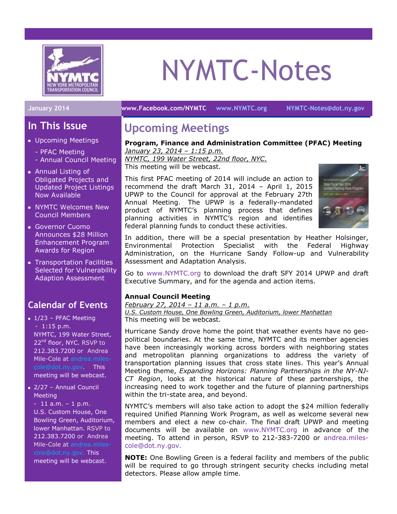

# NYMTC-Notes

# **In This Issue**

- Upcoming Meetings
	- PFAC Meeting
	- Annual Council Meeting
- Annual Listing of Obligated Projects and Updated Project Listings Now Available
- NYMTC Welcomes New Council Members
- Governor Cuomo Announces \$28 Million Enhancement Program Awards for Region
- Transportation Facilities Selected for Vulnerability Adaption Assessment

# **Calendar of Events**

- $\bullet$  1/23 PFAC Meeting - 1:15 p.m. NYMTC, 199 Water Street, 22<sup>nd</sup> floor, NYC. RSVP to 212.383.7200 or Andrea Mile-Cole at [andrea.miles](mailto:andrea.miles-cole@dot.ny.gov)[cole@dot.ny.gov.](mailto:andrea.miles-cole@dot.ny.gov) This meeting will be webcast.
- 2/27 Annual Council **Meeting**

 $-11$  a.m.  $-1$  p.m. U.S. Custom House, One Bowling Green, Auditorium, lower Manhattan. RSVP to 212.383.7200 or Andrea Mile-Cole at [andrea.miles](mailto:andrea.miles-cole@dot.ny.gov)[cole@dot.ny.gov.](mailto:andrea.miles-cole@dot.ny.gov) This meeting will be webcast.

**January 2014 [www.Facebook.com/NYMTC](http://www.facebook.com/NYMTC) [www.NYMTC.org](http://www.nymtc.org/) [NYMTC-Notes@dot.ny.gov](mailto:NYMTC-Notes@dot.ny.gov)**

# **Upcoming Meetings**

## **Program, Finance and Administration Committee (PFAC) Meeting**

*January 23, 2014 – 1:15 p.m. NYMTC, 199 Water Street, 22nd floor, NYC.* This meeting will be webcast.

This first PFAC meeting of 2014 will include an action to recommend the draft March 31, 2014 – April 1, 2015 UPWP to the Council for approval at the February 27th Annual Meeting. The UPWP is a federally-mandated product of NYMTC's planning process that defines planning activities in NYMTC's region and identifies federal planning funds to conduct these activities.



In addition, there will be a special presentation by Heather Holsinger, Environmental Protection Specialist with the Federal Highway Administration, on the Hurricane Sandy Follow-up and Vulnerability Assessment and Adaptation Analysis.

Go to [www.NYMTC.org](http://www.nymtc.org/) to download the draft SFY 2014 UPWP and draft Executive Summary, and for the agenda and action items.

#### **Annual Council Meeting**

*February 27, 2014 – 11 a.m. – 1 p.m. U.S. Custom House, One Bowling Green, Auditorium, lower Manhattan* This meeting will be webcast.

Hurricane Sandy drove home the point that weather events have no geopolitical boundaries. At the same time, NYMTC and its member agencies have been increasingly working across borders with neighboring states and metropolitan planning organizations to address the variety of transportation planning issues that cross state lines. This year's Annual Meeting theme, *Expanding Horizons: Planning Partnerships in the NY-NJ-CT Region*, looks at the historical nature of these partnerships, the increasing need to work together and the future of planning partnerships within the tri-state area, and beyond.

NYMTC's members will also take action to adopt the \$24 million federally required Unified Planning Work Program, as well as welcome several new members and elect a new co-chair. The final draft UPWP and meeting documents will be available on [www.NYMTC.org](http://www.nymtc.org/) in advance of the meeting. To attend in person, RSVP to 212-383-7200 or [andrea.miles](mailto:andrea.miles-cole@dot.ny.gov)[cole@dot.ny.gov.](mailto:andrea.miles-cole@dot.ny.gov)

**NOTE:** One Bowling Green is a federal facility and members of the public will be required to go through stringent security checks including metal detectors. Please allow ample time.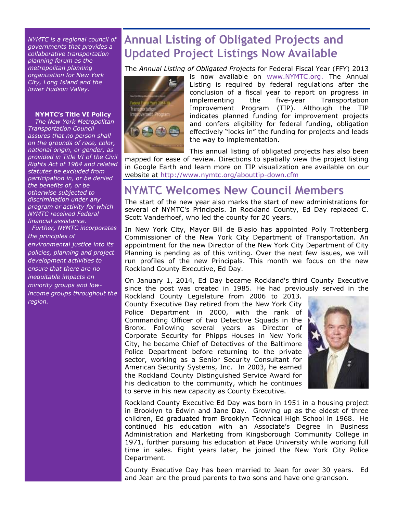*NYMTC is a regional council of governments that provides a collaborative transportation planning forum as the metropolitan planning organization for New York City, Long Island and the lower Hudson Valley.*

#### **NYMTC's Title VI Policy**

*The New York Metropolitan Transportation Council assures that no person shall on the grounds of race, color, national origin, or gender, as provided in Title VI of the Civil Rights Act of 1964 and related statutes be excluded from participation in, or be denied the benefits of, or be otherwise subjected to discrimination under any program or activity for which NYMTC received Federal financial assistance.*

 *Further, NYMTC incorporates the principles of environmental justice into its policies, planning and project development activities to ensure that there are no inequitable impacts on minority groups and lowincome groups throughout the region.*

# **Annual Listing of Obligated Projects and Updated Project Listings Now Available**

The *Annual Listing of Obligated Projects* for Federal Fiscal Year (FFY) 2013



is now available on [www.NYMTC.org.](http://www.nymtc.org/) The Annual Listing is required by federal regulations after the conclusion of a fiscal year to report on progress in implementing the five-year Transportation Improvement Program (TIP). Although the TIP indicates planned funding for improvement projects and confers eligibility for federal funding, obligation effectively "locks in" the funding for projects and leads the way to implementation.

This annual listing of obligated projects has also been mapped for ease of review. Directions to spatially view the project listing in Google Earth and learn more on TIP visualization are available on our website at<http://www.nymtc.org/abouttip-down.cfm>

# **NYMTC Welcomes New Council Members**

The start of the new year also marks the start of new administrations for several of NYMTC's Principals. In Rockland County, Ed Day replaced C. Scott Vanderhoef, who led the county for 20 years.

In New York City, Mayor Bill de Blasio has appointed Polly Trottenberg Commissioner of the New York City Department of Transportation. An appointment for the new Director of the New York City Department of City Planning is pending as of this writing. Over the next few issues, we will run profiles of the new Principals. This month we focus on the new Rockland County Executive, Ed Day.

On January 1, 2014, Ed Day became Rockland's third County Executive since the post was created in 1985. He had previously served in the Rockland County Legislature from 2006 to 2013.

County Executive Day retired from the New York City Police Department in 2000, with the rank of Commanding Officer of two Detective Squads in the Bronx. Following several years as Director of Corporate Security for Phipps Houses in New York City, he became Chief of Detectives of the Baltimore Police Department before returning to the private sector, working as a Senior Security Consultant for American Security Systems, Inc. In 2003, he earned the Rockland County Distinguished Service Award for his dedication to the community, which he continues to serve in his new capacity as County Executive.



Rockland County Executive Ed Day was born in 1951 in a housing project in Brooklyn to Edwin and Jane Day. Growing up as the eldest of three children, Ed graduated from Brooklyn Technical High School in 1968. He continued his education with an Associate's Degree in Business Administration and Marketing from Kingsborough Community College in 1971, further pursuing his education at Pace University while working full time in sales. Eight years later, he joined the New York City Police Department.

County Executive Day has been married to Jean for over 30 years. Ed and Jean are the proud parents to two sons and have one grandson.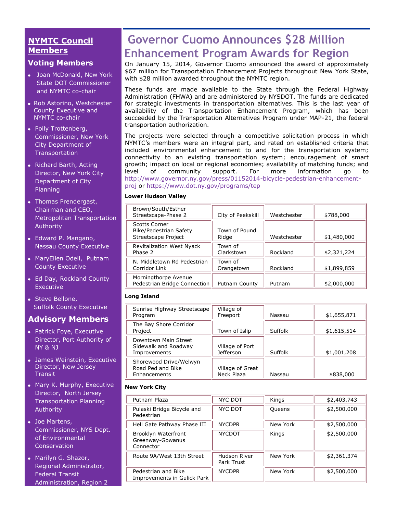### **NYMTC Council Members**

#### **Voting Members**

- Joan McDonald, New York State DOT Commissioner and NYMTC co-chair
- Rob Astorino, Westchester County Executive and NYMTC co-chair
- Polly Trottenberg, Commissioner, New York City Department of Transportation
- Richard Barth, Acting Director, New York City Department of City Planning
- [Thomas Prendergast,](http://www.mta.info/mta/leadership/ferrer.htm) Chairman and CEO, Metropolitan Transportation Authority
- Edward P. Mangano, Nassau County Executive
- MaryEllen Odell, Putnam County Executive
- Ed Day, Rockland County Executive
- Steve Bellone, Suffolk County Executive

### **Advisory Members**

- Patrick Foye, Executive Director, Port Authority of NY & NJ
- James Weinstein, Executive Director, New Jersey **Transit**
- Mary K. Murphy, Executive Director, North Jersey Transportation Planning Authority
- Joe Martens, Commissioner, NYS Dept. of Environmental **Conservation**
- Marilyn G. Shazor, Regional Administrator, Federal Transit Administration, Region 2

# **Governor Cuomo Announces \$28 Million Enhancement Program Awards for Region**

On January 15, 2014, Governor Cuomo announced the award of approximately \$67 million for Transportation Enhancement Projects throughout New York State, with \$28 million awarded throughout the NYMTC region.

These funds are made available to the State through the Federal Highway Administration (FHWA) and are administered by NYSDOT. The funds are dedicated for strategic investments in transportation alternatives. This is the last year of availability of the Transportation Enhancement Program, which has been succeeded by the Transportation Alternatives Program under MAP-21, the federal transportation authorization.

The projects were selected through a competitive solicitation process in which NYMTC's members were an integral part, and rated on established criteria that included environmental enhancement to and for the transportation system; connectivity to an existing transportation system; encouragement of smart growth; impact on local or regional economies; availability of matching funds; and level of community support. For more information go to [http://www.governor.ny.gov/press/01152014-bicycle-pedestrian-enhancement](http://www.governor.ny.gov/press/01152014-bicycle-pedestrian-enhancement-proj)[proj](http://www.governor.ny.gov/press/01152014-bicycle-pedestrian-enhancement-proj) or <https://www.dot.ny.gov/programs/tep>

#### **Lower Hudson Valley**

| Brown/South/Esther<br>Streetscape-Phase 2                             | City of Peekskill      | Westchester | \$788,000   |
|-----------------------------------------------------------------------|------------------------|-------------|-------------|
| <b>Scotts Corner</b><br>Bike/Pedestrian Safety<br>Streetscape Project | Town of Pound<br>Ridge | Westchester | \$1,480,000 |
| Revitalization West Nyack<br>Phase 2                                  | Town of<br>Clarkstown  | Rockland    | \$2,321,224 |
| N. Middletown Rd Pedestrian<br>Corridor Link                          | Town of<br>Orangetown  | Rockland    | \$1,899,859 |
| Morningthorpe Avenue<br>Pedestrian Bridge Connection                  | Putnam County          | Putnam      | \$2,000,000 |

#### **Long Island**

| Sunrise Highway Streetscape<br>Program                       | Village of<br>Freeport         | Nassau  | \$1,655,871 |
|--------------------------------------------------------------|--------------------------------|---------|-------------|
| The Bay Shore Corridor<br>Project                            | Town of Islip                  | Suffolk | \$1,615,514 |
| Downtown Main Street<br>Sidewalk and Roadway<br>Improvements | Village of Port<br>Jefferson   | Suffolk | \$1,001,208 |
| Shorewood Drive/Welwyn<br>Road Ped and Bike<br>Enhancements  | Village of Great<br>Neck Plaza | Nassau  | \$838,000   |

#### **New York City**

| Putnam Plaza                                         | <b>NYC DOT</b>             | Kings    | \$2,403,743 |
|------------------------------------------------------|----------------------------|----------|-------------|
| Pulaski Bridge Bicycle and<br>Pedestrian             | <b>NYC DOT</b>             | Queens   | \$2,500,000 |
| Hell Gate Pathway Phase III                          | <b>NYCDPR</b>              | New York | \$2,500,000 |
| Brooklyn Waterfront<br>Greenway-Gowanus<br>Connector | <b>NYCDOT</b>              | Kings    | \$2,500,000 |
| Route 9A/West 13th Street                            | Hudson River<br>Park Trust | New York | \$2,361,374 |
| Pedestrian and Bike<br>Improvements in Gulick Park   | <b>NYCDPR</b>              | New York | \$2,500,000 |